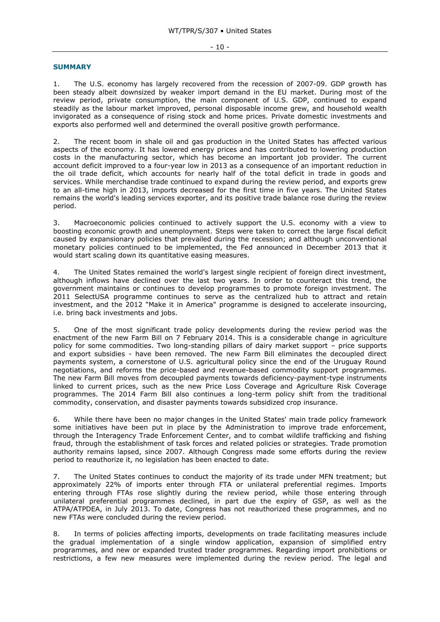## - 10 -

## **SUMMARY**

1. The U.S. economy has largely recovered from the recession of 2007-09. GDP growth has been steady albeit downsized by weaker import demand in the EU market. During most of the review period, private consumption, the main component of U.S. GDP, continued to expand steadily as the labour market improved, personal disposable income grew, and household wealth invigorated as a consequence of rising stock and home prices. Private domestic investments and exports also performed well and determined the overall positive growth performance.

2. The recent boom in shale oil and gas production in the United States has affected various aspects of the economy. It has lowered energy prices and has contributed to lowering production costs in the manufacturing sector, which has become an important job provider. The current account deficit improved to a four-year low in 2013 as a consequence of an important reduction in the oil trade deficit, which accounts for nearly half of the total deficit in trade in goods and services. While merchandise trade continued to expand during the review period, and exports grew to an all-time high in 2013, imports decreased for the first time in five years. The United States remains the world's leading services exporter, and its positive trade balance rose during the review period.

3. Macroeconomic policies continued to actively support the U.S. economy with a view to boosting economic growth and unemployment. Steps were taken to correct the large fiscal deficit caused by expansionary policies that prevailed during the recession; and although unconventional monetary policies continued to be implemented, the Fed announced in December 2013 that it would start scaling down its quantitative easing measures.

4. The United States remained the world's largest single recipient of foreign direct investment, although inflows have declined over the last two years. In order to counteract this trend, the government maintains or continues to develop programmes to promote foreign investment. The 2011 SelectUSA programme continues to serve as the centralized hub to attract and retain investment, and the 2012 "Make it in America" programme is designed to accelerate insourcing, i.e. bring back investments and jobs.

5. One of the most significant trade policy developments during the review period was the enactment of the new Farm Bill on 7 February 2014. This is a considerable change in agriculture policy for some commodities. Two long-standing pillars of dairy market support – price supports and export subsidies - have been removed. The new Farm Bill eliminates the decoupled direct payments system, a cornerstone of U.S. agricultural policy since the end of the Uruguay Round negotiations, and reforms the price-based and revenue-based commodity support programmes. The new Farm Bill moves from decoupled payments towards deficiency-payment-type instruments linked to current prices, such as the new Price Loss Coverage and Agriculture Risk Coverage programmes. The 2014 Farm Bill also continues a long-term policy shift from the traditional commodity, conservation, and disaster payments towards subsidized crop insurance.

6. While there have been no major changes in the United States' main trade policy framework some initiatives have been put in place by the Administration to improve trade enforcement, through the Interagency Trade Enforcement Center, and to combat wildlife trafficking and fishing fraud, through the establishment of task forces and related policies or strategies. Trade promotion authority remains lapsed, since 2007. Although Congress made some efforts during the review period to reauthorize it, no legislation has been enacted to date.

7. The United States continues to conduct the majority of its trade under MFN treatment; but approximately 22% of imports enter through FTA or unilateral preferential regimes. Imports entering through FTAs rose slightly during the review period, while those entering through unilateral preferential programmes declined, in part due the expiry of GSP, as well as the ATPA/ATPDEA, in July 2013. To date, Congress has not reauthorized these programmes, and no new FTAs were concluded during the review period.

8. In terms of policies affecting imports, developments on trade facilitating measures include the gradual implementation of a single window application, expansion of simplified entry programmes, and new or expanded trusted trader programmes. Regarding import prohibitions or restrictions, a few new measures were implemented during the review period. The legal and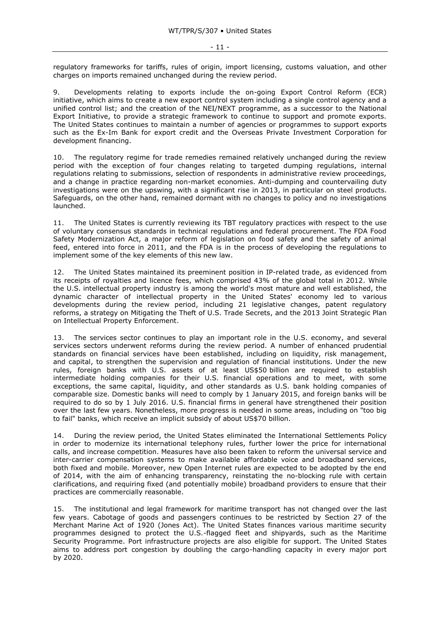regulatory frameworks for tariffs, rules of origin, import licensing, customs valuation, and other charges on imports remained unchanged during the review period.

9. Developments relating to exports include the on-going Export Control Reform (ECR) initiative, which aims to create a new export control system including a single control agency and a unified control list; and the creation of the NEI/NEXT programme, as a successor to the National Export Initiative, to provide a strategic framework to continue to support and promote exports. The United States continues to maintain a number of agencies or programmes to support exports such as the Ex-Im Bank for export credit and the Overseas Private Investment Corporation for development financing.

10. The regulatory regime for trade remedies remained relatively unchanged during the review period with the exception of four changes relating to targeted dumping regulations, internal regulations relating to submissions, selection of respondents in administrative review proceedings, and a change in practice regarding non-market economies. Anti-dumping and countervailing duty investigations were on the upswing, with a significant rise in 2013, in particular on steel products. Safeguards, on the other hand, remained dormant with no changes to policy and no investigations launched.

11. The United States is currently reviewing its TBT regulatory practices with respect to the use of voluntary consensus standards in technical regulations and federal procurement. The FDA Food Safety Modernization Act, a major reform of legislation on food safety and the safety of animal feed, entered into force in 2011, and the FDA is in the process of developing the regulations to implement some of the key elements of this new law.

12. The United States maintained its preeminent position in IP-related trade, as evidenced from its receipts of royalties and licence fees, which comprised 43% of the global total in 2012. While the U.S. intellectual property industry is among the world's most mature and well established, the dynamic character of intellectual property in the United States' economy led to various developments during the review period, including 21 legislative changes, patent regulatory reforms, a strategy on Mitigating the Theft of U.S. Trade Secrets, and the 2013 Joint Strategic Plan on Intellectual Property Enforcement.

13. The services sector continues to play an important role in the U.S. economy, and several services sectors underwent reforms during the review period. A number of enhanced prudential standards on financial services have been established, including on liquidity, risk management, and capital, to strengthen the supervision and regulation of financial institutions. Under the new rules, foreign banks with U.S. assets of at least US\$50 billion are required to establish intermediate holding companies for their U.S. financial operations and to meet, with some exceptions, the same capital, liquidity, and other standards as U.S. bank holding companies of comparable size. Domestic banks will need to comply by 1 January 2015, and foreign banks will be required to do so by 1 July 2016. U.S. financial firms in general have strengthened their position over the last few years. Nonetheless, more progress is needed in some areas, including on "too big to fail" banks, which receive an implicit subsidy of about US\$70 billion.

14. During the review period, the United States eliminated the International Settlements Policy in order to modernize its international telephony rules, further lower the price for international calls, and increase competition. Measures have also been taken to reform the universal service and inter-carrier compensation systems to make available affordable voice and broadband services, both fixed and mobile. Moreover, new Open Internet rules are expected to be adopted by the end of 2014, with the aim of enhancing transparency, reinstating the no-blocking rule with certain clarifications, and requiring fixed (and potentially mobile) broadband providers to ensure that their practices are commercially reasonable.

15. The institutional and legal framework for maritime transport has not changed over the last few years. Cabotage of goods and passengers continues to be restricted by Section 27 of the Merchant Marine Act of 1920 (Jones Act). The United States finances various maritime security programmes designed to protect the U.S.-flagged fleet and shipyards, such as the Maritime Security Programme. Port infrastructure projects are also eligible for support. The United States aims to address port congestion by doubling the cargo-handling capacity in every major port by 2020.